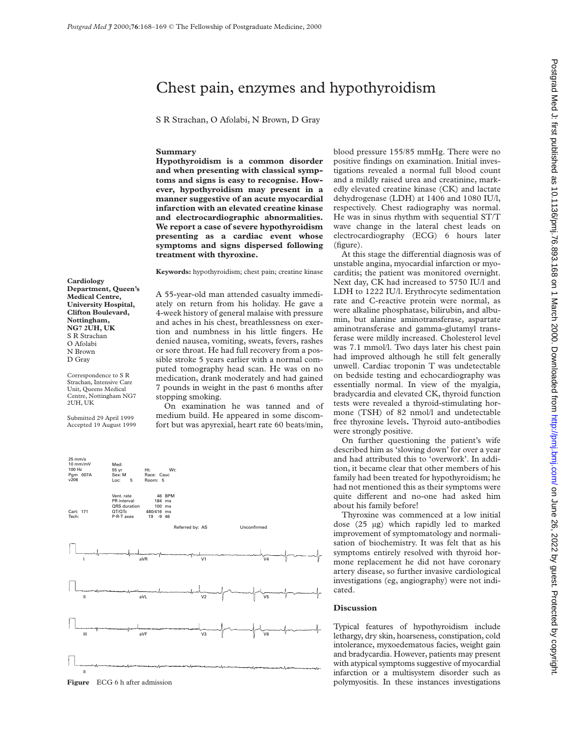# Chest pain, enzymes and hypothyroidism

S R Strachan, O Afolabi, N Brown, D Gray

## **Summary**

**Hypothyroidism is a common disorder and when presenting with classical symptoms and signs is easy to recognise. However, hypothyroidism may present in a manner suggestive of an acute myocardial infarction with an elevated creatine kinase and electrocardiographic abnormalities. We report a case of severe hypothyroidism presenting as a cardiac event whose symptoms and signs dispersed following treatment with thyroxine.**

**Keywords:** hypothyroidism; chest pain; creatine kinase

**Cardiology Department, Queen's Medical Centre, University Hospital, Clifton Boulevard, Nottingham, NG7 2UH, UK** S R Strachan O Afolabi N Brown D Gray

Correspondence to S R Strachan, Intensive Care Unit, Queens Medical Centre, Nottingham NG7 2UH, UK

Submitted 29 April 1999 Accepted 19 August 1999 A 55-year-old man attended casualty immediately on return from his holiday. He gave a 4-week history of general malaise with pressure and aches in his chest, breathlessness on exertion and numbness in his little fingers. He denied nausea, vomiting, sweats, fevers, rashes or sore throat. He had full recovery from a possible stroke 5 years earlier with a normal computed tomography head scan. He was on no medication, drank moderately and had gained 7 pounds in weight in the past 6 months after stopping smoking.

On examination he was tanned and of medium build. He appeared in some discomfort but was apyrexial, heart rate 60 beats/min,



blood pressure 155/85 mmHg. There were no positive findings on examination. Initial investigations revealed a normal full blood count and a mildly raised urea and creatinine, markedly elevated creatine kinase (CK) and lactate dehydrogenase (LDH) at 1406 and 1080 IU/l, respectively. Chest radiography was normal. He was in sinus rhythm with sequential ST/T wave change in the lateral chest leads on electrocardiography (ECG) 6 hours later (figure).

At this stage the differential diagnosis was of unstable angina, myocardial infarction or myocarditis; the patient was monitored overnight. Next day, CK had increased to 5750 IU/l and LDH to 1222 IU/l. Erythrocyte sedimentation rate and C-reactive protein were normal, as were alkaline phosphatase, bilirubin, and albumin, but alanine aminotransferase, aspartate aminotransferase and gamma-glutamyl transferase were mildly increased. Cholesterol level was 7.1 mmol/l. Two days later his chest pain had improved although he still felt generally unwell. Cardiac troponin T was undetectable on bedside testing and echocardiography was essentially normal. In view of the myalgia, bradycardia and elevated CK, thyroid function tests were revealed a thyroid-stimulating hormone (TSH) of 82 nmol/l and undetectable free thyroxine levels**.** Thyroid auto-antibodies were strongly positive.

On further questioning the patient's wife described him as 'slowing down' for over a year and had attributed this to 'overwork'. In addition, it became clear that other members of his family had been treated for hypothyroidism; he had not mentioned this as their symptoms were quite different and no-one had asked him about his family before!

Thyroxine was commenced at a low initial dose (25 µg) which rapidly led to marked improvement of symptomatology and normalisation of biochemistry. It was felt that as his symptoms entirely resolved with thyroid hormone replacement he did not have coronary artery disease, so further invasive cardiological investigations (eg, angiography) were not indicated.

#### **Discussion**

Typical features of hypothyroidism include lethargy, dry skin, hoarseness, constipation, cold intolerance, myxoedematous facies, weight gain and bradycardia. However, patients may present with atypical symptoms suggestive of myocardial infarction or a multisystem disorder such as **Figure** ECG 6 h after admission **polymyositis.** In these instances investigations